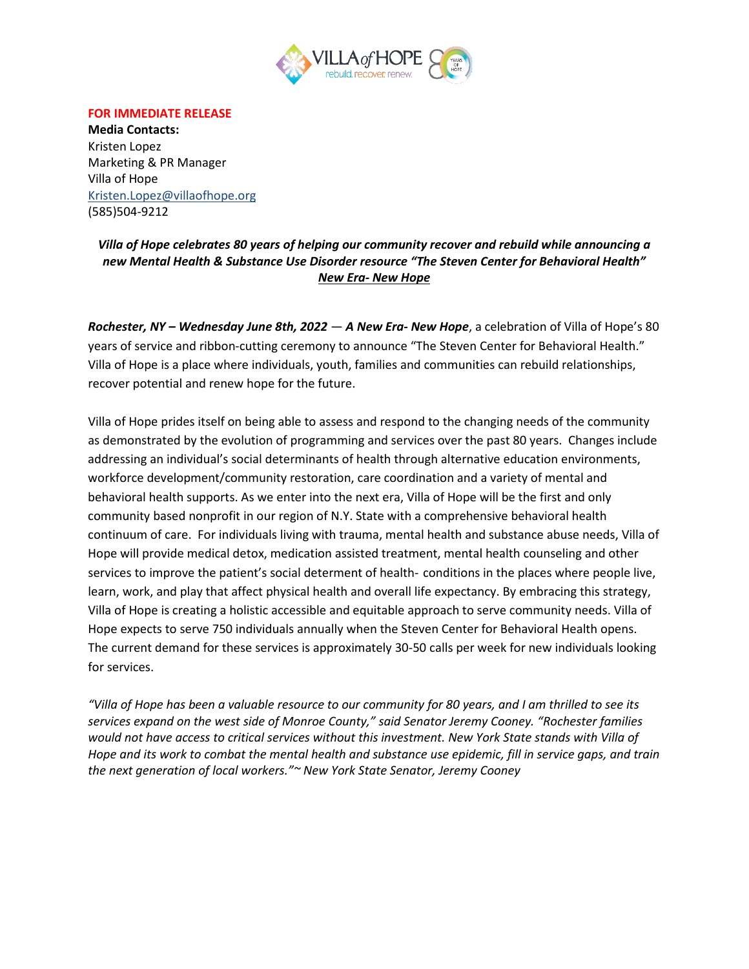

## **FOR IMMEDIATE RELEASE**

**Media Contacts:** Kristen Lopez Marketing & PR Manager Villa of Hope [Kristen.Lopez@v](mailto:Kristen.Lopez@)illaofhope.org (585)504-9212

*Villa of Hope celebrates 80 years of helping our community recover and rebuild while announcing a new Mental Health & Substance Use Disorder resource "The Steven Center for Behavioral Health" New Era- New Hope*

*Rochester, NY – Wednesday June 8th, 2022* — *A New Era- New Hope*, a celebration of Villa of Hope's 80 years of service and ribbon-cutting ceremony to announce "The Steven Center for Behavioral Health." Villa of Hope is a place where individuals, youth, families and communities can rebuild relationships, recover potential and renew hope for the future.

Villa of Hope prides itself on being able to assess and respond to the changing needs of the community as demonstrated by the evolution of programming and services over the past 80 years. Changes include addressing an individual's social determinants of health through alternative education environments, workforce development/community restoration, care coordination and a variety of mental and behavioral health supports. As we enter into the next era, Villa of Hope will be the first and only community based nonprofit in our region of N.Y. State with a comprehensive behavioral health continuum of care. For individuals living with trauma, mental health and substance abuse needs, Villa of Hope will provide medical detox, medication assisted treatment, mental health counseling and other services to improve the patient's social determent of health- conditions in the places where people live, learn, work, and play that affect physical health and overall life expectancy. By embracing this strategy, Villa of Hope is creating a holistic accessible and equitable approach to serve community needs. Villa of Hope expects to serve 750 individuals annually when the Steven Center for Behavioral Health opens. The current demand for these services is approximately 30-50 calls per week for new individuals looking for services.

*"Villa of Hope has been a valuable resource to our community for 80 years, and I am thrilled to see its services expand on the west side of Monroe County," said Senator Jeremy Cooney. "Rochester families would not have access to critical services without this investment. New York State stands with Villa of Hope and its work to combat the mental health and substance use epidemic, fill in service gaps, and train the next generation of local workers."~ New York State Senator, Jeremy Cooney*